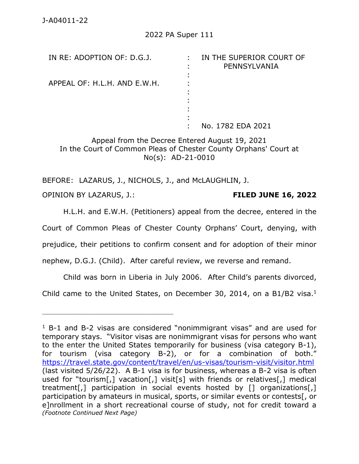| IN RE: ADOPTION OF: D.G.J.   | IN THE SUPERIOR COURT OF<br>÷<br>PENNSYLVANIA |
|------------------------------|-----------------------------------------------|
|                              |                                               |
| APPEAL OF: H.L.H. AND E.W.H. |                                               |
|                              |                                               |
|                              |                                               |
|                              |                                               |
|                              |                                               |
|                              | No. 1782 EDA 2021                             |

Appeal from the Decree Entered August 19, 2021 In the Court of Common Pleas of Chester County Orphans' Court at No(s): AD-21-0010

BEFORE: LAZARUS, J., NICHOLS, J., and McLAUGHLIN, J. OPINION BY LAZARUS, J.: **FILED JUNE 16, 2022**

H.L.H. and E.W.H. (Petitioners) appeal from the decree, entered in the Court of Common Pleas of Chester County Orphans' Court, denying, with prejudice, their petitions to confirm consent and for adoption of their minor nephew, D.G.J. (Child). After careful review, we reverse and remand.

Child was born in Liberia in July 2006. After Child's parents divorced,

Child came to the United States, on December 30, 2014, on a B1/B2 visa. $<sup>1</sup>$ </sup>

 $1$  B-1 and B-2 visas are considered "nonimmigrant visas" and are used for temporary stays. "Visitor visas are nonimmigrant visas for persons who want to the enter the United States temporarily for business (visa category B-1), for tourism (visa category B-2), or for a combination of both." <https://travel.state.gov/content/travel/en/us-visas/tourism-visit/visitor.html> (last visited 5/26/22). A B-1 visa is for business, whereas a B-2 visa is often used for "tourism[,] vacation[,] visit[s] with friends or relatives[,] medical treatment[,] participation in social events hosted by [] organizations[,] participation by amateurs in musical, sports, or similar events or contests[, or e]nrollment in a short recreational course of study, not for credit toward a *(Footnote Continued Next Page)*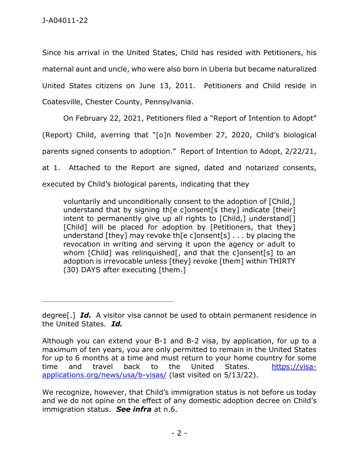Since his arrival in the United States, Child has resided with Petitioners, his maternal aunt and uncle, who were also born in Liberia but became naturalized United States citizens on June 13, 2011. Petitioners and Child reside in Coatesville, Chester County, Pennsylvania.

On February 22, 2021, Petitioners filed a "Report of Intention to Adopt"

(Report) Child, averring that "[o]n November 27, 2020, Child's biological

parents signed consents to adoption." Report of Intention to Adopt, 2/22/21,

at 1. Attached to the Report are signed, dated and notarized consents,

executed by Child's biological parents, indicating that they

\_\_\_\_\_\_\_\_\_\_\_\_\_\_\_\_\_\_\_\_\_\_\_\_\_\_\_\_\_\_\_\_\_\_\_\_\_\_\_\_\_\_\_\_

voluntarily and unconditionally consent to the adoption of [Child,] understand that by signing th[e c]onsent[s they] indicate [their] intent to permanently give up all rights to [Child,] understand[] [Child] will be placed for adoption by [Petitioners, that they] understand [they] may revoke th[e c]onsent[s]  $\ldots$  by placing the revocation in writing and serving it upon the agency or adult to whom [Child] was relinguished<sup>[</sup>, and that the c]onsent<sup>[s]</sup> to an adoption is irrevocable unless [they] revoke [them] within THIRTY (30) DAYS after executing [them.]

degree[.] *Id.* A visitor visa cannot be used to obtain permanent residence in the United States. *Id.*

Although you can extend your B-1 and B-2 visa, by application, for up to a maximum of ten years, you are only permitted to remain in the United States for up to 6 months at a time and must return to your home country for some time and travel back to the United States. [https://visa](https://visa-applications.org/news/usa/b-visas/)[applications.org/news/usa/b-visas/](https://visa-applications.org/news/usa/b-visas/) (last visited on 5/13/22).

We recognize, however, that Child's immigration status is not before us today and we do not opine on the effect of any domestic adoption decree on Child's immigration status. *See infra* at n.6.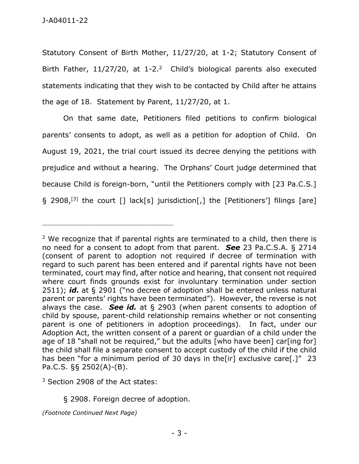Statutory Consent of Birth Mother, 11/27/20, at 1-2; Statutory Consent of Birth Father,  $11/27/20$ , at  $1-2<sup>2</sup>$  Child's biological parents also executed statements indicating that they wish to be contacted by Child after he attains the age of 18. Statement by Parent, 11/27/20, at 1.

On that same date, Petitioners filed petitions to confirm biological parents' consents to adopt, as well as a petition for adoption of Child. On August 19, 2021, the trial court issued its decree denying the petitions with prejudice and without a hearing. The Orphans' Court judge determined that because Child is foreign-born, "until the Petitioners comply with [23 Pa.C.S.] § 2908,[3] the court [] lack[s] jurisdiction[,] the [Petitioners'] filings [are]

\_\_\_\_\_\_\_\_\_\_\_\_\_\_\_\_\_\_\_\_\_\_\_\_\_\_\_\_\_\_\_\_\_\_\_\_\_\_\_\_\_\_\_\_

*(Footnote Continued Next Page)*

 $2$  We recognize that if parental rights are terminated to a child, then there is no need for a consent to adopt from that parent. *See* 23 Pa.C.S.A. § 2714 (consent of parent to adoption not required if decree of termination with regard to such parent has been entered and if parental rights have not been terminated, court may find, after notice and hearing, that consent not required where court finds grounds exist for involuntary termination under section 2511); *id.* at § 2901 ("no decree of adoption shall be entered unless natural parent or parents' rights have been terminated"). However, the reverse is not always the case. *See id.* at § 2903 (when parent consents to adoption of child by spouse, parent-child relationship remains whether or not consenting parent is one of petitioners in adoption proceedings). In fact, under our Adoption Act, the written consent of a parent or guardian of a child under the age of 18 "shall not be required," but the adults [who have been] car[ing for] the child shall file a separate consent to accept custody of the child if the child has been "for a minimum period of 30 days in the [ir] exclusive care [.]" 23 Pa.C.S. §§ 2502(A)-(B).

<sup>&</sup>lt;sup>3</sup> Section 2908 of the Act states:

<sup>§ 2908.</sup> Foreign decree of adoption.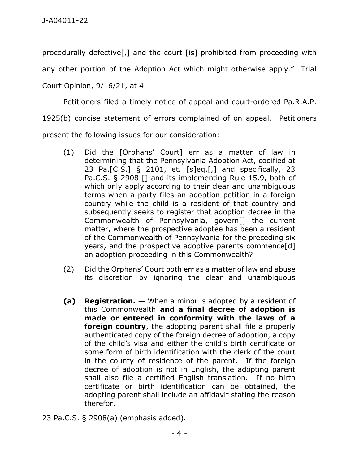procedurally defective[,] and the court [is] prohibited from proceeding with

any other portion of the Adoption Act which might otherwise apply." Trial

Court Opinion, 9/16/21, at 4.

Petitioners filed a timely notice of appeal and court-ordered Pa.R.A.P.

1925(b) concise statement of errors complained of on appeal. Petitioners

present the following issues for our consideration:

- (1) Did the [Orphans' Court] err as a matter of law in determining that the Pennsylvania Adoption Act, codified at 23 Pa.[C.S.] § 2101, et. [s]eq.[,] and specifically, 23 Pa.C.S. § 2908 [] and its implementing Rule 15.9, both of which only apply according to their clear and unambiguous terms when a party files an adoption petition in a foreign country while the child is a resident of that country and subsequently seeks to register that adoption decree in the Commonwealth of Pennsylvania, govern[] the current matter, where the prospective adoptee has been a resident of the Commonwealth of Pennsylvania for the preceding six years, and the prospective adoptive parents commence[d] an adoption proceeding in this Commonwealth?
- (2) Did the Orphans' Court both err as a matter of law and abuse its discretion by ignoring the clear and unambiguous
- **(a) Registration. —** When a minor is adopted by a resident of this Commonwealth **and a final decree of adoption is made or entered in conformity with the laws of a foreign country**, the adopting parent shall file a properly authenticated copy of the foreign decree of adoption, a copy of the child's visa and either the child's birth certificate or some form of birth identification with the clerk of the court in the county of residence of the parent. If the foreign decree of adoption is not in English, the adopting parent shall also file a certified English translation. If no birth certificate or birth identification can be obtained, the adopting parent shall include an affidavit stating the reason therefor.
- 23 Pa.C.S. § 2908(a) (emphasis added).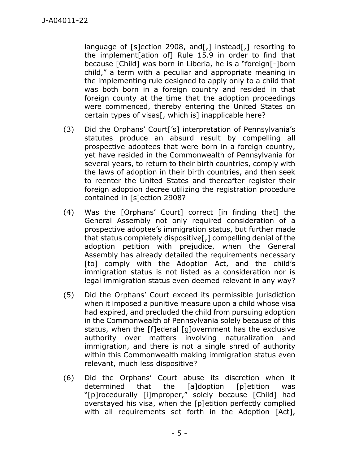language of [s]ection 2908, and[,] instead[,] resorting to the implement[ation of] Rule 15.9 in order to find that because [Child] was born in Liberia, he is a "foreign[-]born child," a term with a peculiar and appropriate meaning in the implementing rule designed to apply only to a child that was both born in a foreign country and resided in that foreign county at the time that the adoption proceedings were commenced, thereby entering the United States on certain types of visas[, which is] inapplicable here?

- (3) Did the Orphans' Court['s] interpretation of Pennsylvania's statutes produce an absurd result by compelling all prospective adoptees that were born in a foreign country, yet have resided in the Commonwealth of Pennsylvania for several years, to return to their birth countries, comply with the laws of adoption in their birth countries, and then seek to reenter the United States and thereafter register their foreign adoption decree utilizing the registration procedure contained in [s]ection 2908?
- (4) Was the [Orphans' Court] correct [in finding that] the General Assembly not only required consideration of a prospective adoptee's immigration status, but further made that status completely dispositive[,] compelling denial of the adoption petition with prejudice, when the General Assembly has already detailed the requirements necessary [to] comply with the Adoption Act, and the child's immigration status is not listed as a consideration nor is legal immigration status even deemed relevant in any way?
- (5) Did the Orphans' Court exceed its permissible jurisdiction when it imposed a punitive measure upon a child whose visa had expired, and precluded the child from pursuing adoption in the Commonwealth of Pennsylvania solely because of this status, when the [f]ederal [g]overnment has the exclusive authority over matters involving naturalization and immigration, and there is not a single shred of authority within this Commonwealth making immigration status even relevant, much less dispositive?
- (6) Did the Orphans' Court abuse its discretion when it determined that the [a]doption [p]etition was "[p]rocedurally [i]mproper," solely because [Child] had overstayed his visa, when the [p]etition perfectly complied with all requirements set forth in the Adoption [Act],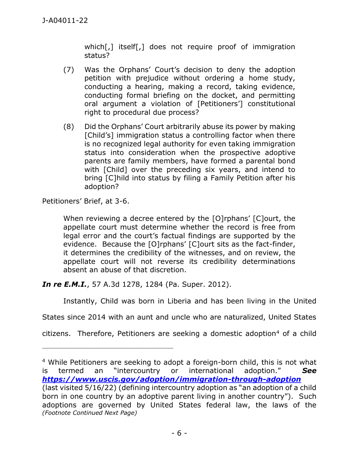which[,] itself[,] does not require proof of immigration status?

- (7) Was the Orphans' Court's decision to deny the adoption petition with prejudice without ordering a home study, conducting a hearing, making a record, taking evidence, conducting formal briefing on the docket, and permitting oral argument a violation of [Petitioners'] constitutional right to procedural due process?
- (8) Did the Orphans' Court arbitrarily abuse its power by making [Child's] immigration status a controlling factor when there is no recognized legal authority for even taking immigration status into consideration when the prospective adoptive parents are family members, have formed a parental bond with [Child] over the preceding six years, and intend to bring [C]hild into status by filing a Family Petition after his adoption?

Petitioners' Brief, at 3-6.

When reviewing a decree entered by the [O]rphans' [C]ourt, the appellate court must determine whether the record is free from legal error and the court's factual findings are supported by the evidence. Because the [O]rphans' [C]ourt sits as the fact-finder, it determines the credibility of the witnesses, and on review, the appellate court will not reverse its credibility determinations absent an abuse of that discretion.

*In re E.M.I.*, 57 A.3d 1278, 1284 (Pa. Super. 2012).

\_\_\_\_\_\_\_\_\_\_\_\_\_\_\_\_\_\_\_\_\_\_\_\_\_\_\_\_\_\_\_\_\_\_\_\_\_\_\_\_\_\_\_\_

Instantly, Child was born in Liberia and has been living in the United

States since 2014 with an aunt and uncle who are naturalized, United States

citizens. Therefore, Petitioners are seeking a domestic adoption<sup>4</sup> of a child

<sup>4</sup> While Petitioners are seeking to adopt a foreign-born child, this is not what is termed an "intercountry or international adoption." *See <https://www.uscis.gov/adoption/immigration-through-adoption>* (last visited 5/16/22) (defining intercountry adoption as "an adoption of a child born in one country by an adoptive parent living in another country"). Such adoptions are governed by United States federal law, the laws of the *(Footnote Continued Next Page)*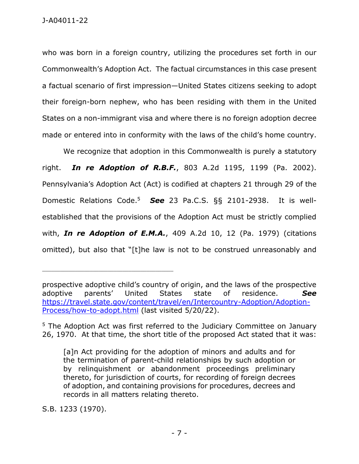who was born in a foreign country, utilizing the procedures set forth in our Commonwealth's Adoption Act. The factual circumstances in this case present a factual scenario of first impression—United States citizens seeking to adopt their foreign-born nephew, who has been residing with them in the United States on a non-immigrant visa and where there is no foreign adoption decree made or entered into in conformity with the laws of the child's home country.

We recognize that adoption in this Commonwealth is purely a statutory right. *In re Adoption of R.B.F.*, 803 A.2d 1195, 1199 (Pa. 2002). Pennsylvania's Adoption Act (Act) is codified at chapters 21 through 29 of the Domestic Relations Code. 5 *See* 23 Pa.C.S. §§ 2101-2938. It is wellestablished that the provisions of the Adoption Act must be strictly complied with, *In re Adoption of E.M.A.*, 409 A.2d 10, 12 (Pa. 1979) (citations omitted), but also that "[t]he law is not to be construed unreasonably and

S.B. 1233 (1970).

prospective adoptive child's country of origin, and the laws of the prospective adoptive parents' United States state of residence. *See*  [https://travel.state.gov/content/travel/en/Intercountry-Adoption/Adoption-](https://travel.state.gov/content/travel/en/Intercountry-Adoption/Adoption-Process/how-to-adopt.html)[Process/how-to-adopt.html](https://travel.state.gov/content/travel/en/Intercountry-Adoption/Adoption-Process/how-to-adopt.html) (last visited 5/20/22).

<sup>&</sup>lt;sup>5</sup> The Adoption Act was first referred to the Judiciary Committee on January 26, 1970. At that time, the short title of the proposed Act stated that it was:

<sup>[</sup>a]n Act providing for the adoption of minors and adults and for the termination of parent-child relationships by such adoption or by relinquishment or abandonment proceedings preliminary thereto, for jurisdiction of courts, for recording of foreign decrees of adoption, and containing provisions for procedures, decrees and records in all matters relating thereto.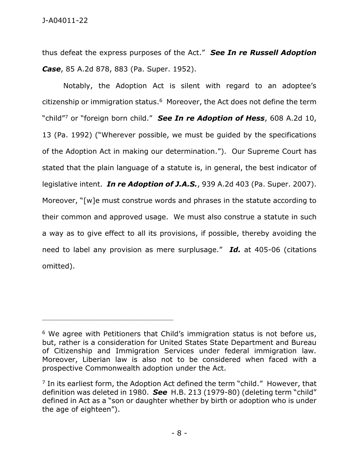thus defeat the express purposes of the Act." *See In re Russell Adoption Case*, 85 A.2d 878, 883 (Pa. Super. 1952).

Notably, the Adoption Act is silent with regard to an adoptee's citizenship or immigration status.<sup>6</sup> Moreover, the Act does not define the term "child" <sup>7</sup> or "foreign born child." *See In re Adoption of Hess*, 608 A.2d 10, 13 (Pa. 1992) ("Wherever possible, we must be guided by the specifications of the Adoption Act in making our determination."). Our Supreme Court has stated that the plain language of a statute is, in general, the best indicator of legislative intent. *In re Adoption of J.A.S.*, 939 A.2d 403 (Pa. Super. 2007). Moreover, "[w]e must construe words and phrases in the statute according to their common and approved usage. We must also construe a statute in such a way as to give effect to all its provisions, if possible, thereby avoiding the need to label any provision as mere surplusage." *Id.* at 405-06 (citations omitted).

<sup>&</sup>lt;sup>6</sup> We agree with Petitioners that Child's immigration status is not before us, but, rather is a consideration for United States State Department and Bureau of Citizenship and Immigration Services under federal immigration law. Moreover, Liberian law is also not to be considered when faced with a prospective Commonwealth adoption under the Act.

<sup>&</sup>lt;sup>7</sup> In its earliest form, the Adoption Act defined the term "child." However, that definition was deleted in 1980. *See* H.B. 213 (1979-80) (deleting term "child" defined in Act as a "son or daughter whether by birth or adoption who is under the age of eighteen").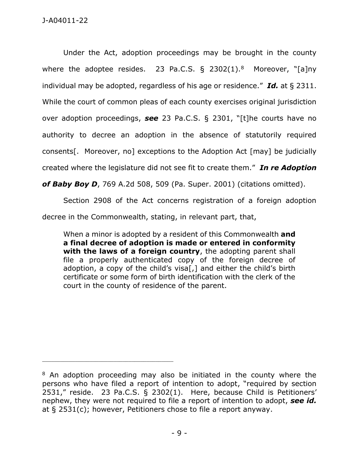Under the Act, adoption proceedings may be brought in the county where the adoptee resides. 23 Pa.C.S.  $\S$  2302(1).<sup>8</sup> Moreover, "[a]ny individual may be adopted, regardless of his age or residence." *Id.* at § 2311. While the court of common pleas of each county exercises original jurisdiction over adoption proceedings, *see* 23 Pa.C.S. § 2301, "[t]he courts have no authority to decree an adoption in the absence of statutorily required consents[. Moreover, no] exceptions to the Adoption Act [may] be judicially created where the legislature did not see fit to create them." *In re Adoption* 

*of Baby Boy D*, 769 A.2d 508, 509 (Pa. Super. 2001) (citations omitted).

Section 2908 of the Act concerns registration of a foreign adoption

decree in the Commonwealth, stating, in relevant part, that,

When a minor is adopted by a resident of this Commonwealth **and a final decree of adoption is made or entered in conformity with the laws of a foreign country**, the adopting parent shall file a properly authenticated copy of the foreign decree of adoption, a copy of the child's visa[,] and either the child's birth certificate or some form of birth identification with the clerk of the court in the county of residence of the parent.

<sup>&</sup>lt;sup>8</sup> An adoption proceeding may also be initiated in the county where the persons who have filed a report of intention to adopt, "required by section 2531," reside. 23 Pa.C.S. § 2302(1). Here, because Child is Petitioners' nephew, they were not required to file a report of intention to adopt, *see id.*  at § 2531(c); however, Petitioners chose to file a report anyway.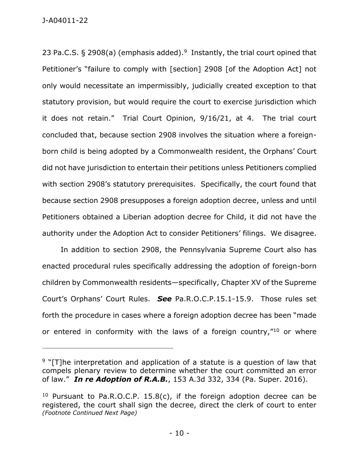23 Pa.C.S. § 2908(a) (emphasis added).<sup>9</sup> Instantly, the trial court opined that Petitioner's "failure to comply with [section] 2908 [of the Adoption Act] not only would necessitate an impermissibly, judicially created exception to that statutory provision, but would require the court to exercise jurisdiction which it does not retain." Trial Court Opinion, 9/16/21, at 4. The trial court concluded that, because section 2908 involves the situation where a foreignborn child is being adopted by a Commonwealth resident, the Orphans' Court did not have jurisdiction to entertain their petitions unless Petitioners complied with section 2908's statutory prerequisites. Specifically, the court found that because section 2908 presupposes a foreign adoption decree, unless and until Petitioners obtained a Liberian adoption decree for Child, it did not have the authority under the Adoption Act to consider Petitioners' filings. We disagree.

In addition to section 2908, the Pennsylvania Supreme Court also has enacted procedural rules specifically addressing the adoption of foreign-born children by Commonwealth residents—specifically, Chapter XV of the Supreme Court's Orphans' Court Rules. *See* Pa.R.O.C.P.15.1-15.9. Those rules set forth the procedure in cases where a foreign adoption decree has been "made or entered in conformity with the laws of a foreign country,"<sup>10</sup> or where

 $9$  "[T]he interpretation and application of a statute is a question of law that compels plenary review to determine whether the court committed an error of law." *In re Adoption of R.A.B.*, 153 A.3d 332, 334 (Pa. Super. 2016).

<sup>&</sup>lt;sup>10</sup> Pursuant to Pa.R.O.C.P. 15.8(c), if the foreign adoption decree can be registered, the court shall sign the decree, direct the clerk of court to enter *(Footnote Continued Next Page)*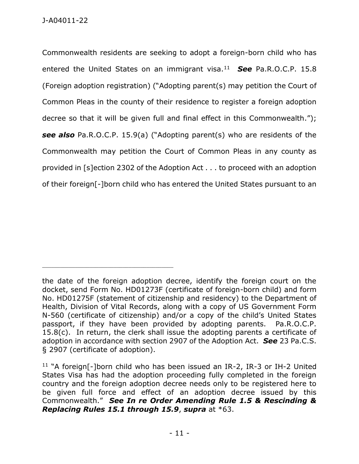Commonwealth residents are seeking to adopt a foreign-born child who has entered the United States on an immigrant visa.<sup>11</sup> *See* Pa.R.O.C.P. 15.8 (Foreign adoption registration) ("Adopting parent(s) may petition the Court of Common Pleas in the county of their residence to register a foreign adoption decree so that it will be given full and final effect in this Commonwealth."); *see also* Pa.R.O.C.P. 15.9(a) ("Adopting parent(s) who are residents of the Commonwealth may petition the Court of Common Pleas in any county as provided in [s]ection 2302 of the Adoption Act . . . to proceed with an adoption of their foreign[-]born child who has entered the United States pursuant to an

the date of the foreign adoption decree, identify the foreign court on the docket, send Form No. HD01273F (certificate of foreign-born child) and form No. HD01275F (statement of citizenship and residency) to the Department of Health, Division of Vital Records, along with a copy of US Government Form N-560 (certificate of citizenship) and/or a copy of the child's United States passport, if they have been provided by adopting parents. Pa.R.O.C.P. 15.8(c). In return, the clerk shall issue the adopting parents a certificate of adoption in accordance with section 2907 of the Adoption Act. *See* 23 Pa.C.S. § 2907 (certificate of adoption).

<sup>11</sup> "A foreign[-]born child who has been issued an IR-2, IR-3 or IH-2 United States Visa has had the adoption proceeding fully completed in the foreign country and the foreign adoption decree needs only to be registered here to be given full force and effect of an adoption decree issued by this Commonwealth." *See In re Order Amending Rule 1.5 & Rescinding & Replacing Rules 15.1 through 15.9*, *supra* at \*63.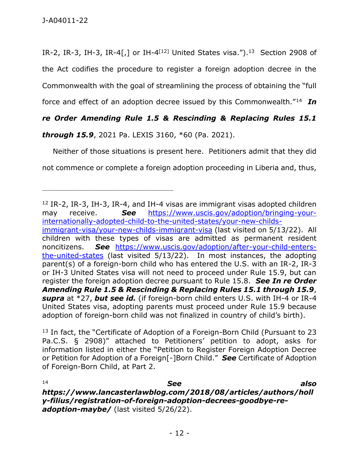IR-2, IR-3, IH-3, IR-4[,] or IH-4<sup>[12]</sup> United States visa.").<sup>13</sup> Section 2908 of the Act codifies the procedure to register a foreign adoption decree in the Commonwealth with the goal of streamlining the process of obtaining the "full

force and effect of an adoption decree issued by this Commonwealth."<sup>14</sup> *In* 

## *re Order Amending Rule 1.5 & Rescinding & Replacing Rules 15.1*

*through 15.9*, 2021 Pa. LEXIS 3160, \*60 (Pa. 2021).

Neither of those situations is present here. Petitioners admit that they did not commence or complete a foreign adoption proceeding in Liberia and, thus,

<sup>13</sup> In fact, the "Certificate of Adoption of a Foreign-Born Child (Pursuant to 23 Pa.C.S. § 2908)" attached to Petitioners' petition to adopt, asks for information listed in either the "Petition to Register Foreign Adoption Decree or Petition for Adoption of a Foreign[-]Born Child." *See* Certificate of Adoption of Foreign-Born Child, at Part 2.

<sup>14</sup> *See also https://www.lancasterlawblog.com/2018/08/articles/authors/holl y-filius/registration-of-foreign-adoption-decrees-goodbye-readoption-maybe/* (last visited 5/26/22).

<sup>12</sup> IR-2, IR-3, IH-3, IR-4, and IH-4 visas are immigrant visas adopted children may receive. *See* [https://www.uscis.gov/adoption/bringing-your](https://www.uscis.gov/adoption/bringing-your-internationally-adopted-child-to-the-united-states/your-new-childs-immigrant-visa/your-new-childs-immigrant-visa)[internationally-adopted-child-to-the-united-states/your-new-childs](https://www.uscis.gov/adoption/bringing-your-internationally-adopted-child-to-the-united-states/your-new-childs-immigrant-visa/your-new-childs-immigrant-visa)[immigrant-visa/your-new-childs-immigrant-visa](https://www.uscis.gov/adoption/bringing-your-internationally-adopted-child-to-the-united-states/your-new-childs-immigrant-visa/your-new-childs-immigrant-visa) (last visited on 5/13/22). All children with these types of visas are admitted as permanent resident noncitizens. *See* [https://www.uscis.gov/adoption/after-your-child-enters](https://www.uscis.gov/adoption/after-your-child-enters-the-united-states)[the-united-states](https://www.uscis.gov/adoption/after-your-child-enters-the-united-states) (last visited 5/13/22). In most instances, the adopting parent(s) of a foreign-born child who has entered the U.S. with an IR-2, IR-3 or IH-3 United States visa will not need to proceed under Rule 15.9, but can register the foreign adoption decree pursuant to Rule 15.8. *See In re Order Amending Rule 1.5 & Rescinding & Replacing Rules 15.1 through 15.9*, *supra* at \*27, *but see id.* (if foreign-born child enters U.S. with IH-4 or IR-4 United States visa, adopting parents must proceed under Rule 15.9 because adoption of foreign-born child was not finalized in country of child's birth).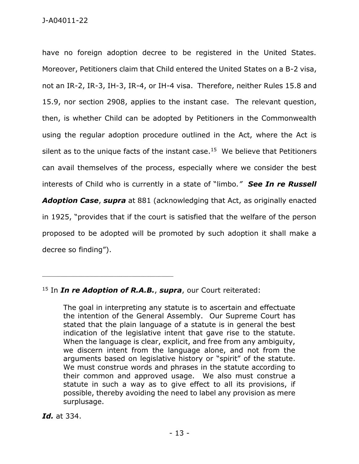have no foreign adoption decree to be registered in the United States. Moreover, Petitioners claim that Child entered the United States on a B-2 visa, not an IR-2, IR-3, IH-3, IR-4, or IH-4 visa. Therefore, neither Rules 15.8 and 15.9, nor section 2908, applies to the instant case. The relevant question, then, is whether Child can be adopted by Petitioners in the Commonwealth using the regular adoption procedure outlined in the Act, where the Act is silent as to the unique facts of the instant case.<sup>15</sup> We believe that Petitioners can avail themselves of the process, especially where we consider the best interests of Child who is currently in a state of "limbo*." See In re Russell Adoption Case*, *supra* at 881 (acknowledging that Act, as originally enacted in 1925, "provides that if the court is satisfied that the welfare of the person proposed to be adopted will be promoted by such adoption it shall make a decree so finding").

*Id.* at 334.

<sup>15</sup> In *In re Adoption of R.A.B.*, *supra*, our Court reiterated:

The goal in interpreting any statute is to ascertain and effectuate the intention of the General Assembly. Our Supreme Court has stated that the plain language of a statute is in general the best indication of the legislative intent that gave rise to the statute. When the language is clear, explicit, and free from any ambiguity, we discern intent from the language alone, and not from the arguments based on legislative history or "spirit" of the statute. We must construe words and phrases in the statute according to their common and approved usage. We also must construe a statute in such a way as to give effect to all its provisions, if possible, thereby avoiding the need to label any provision as mere surplusage.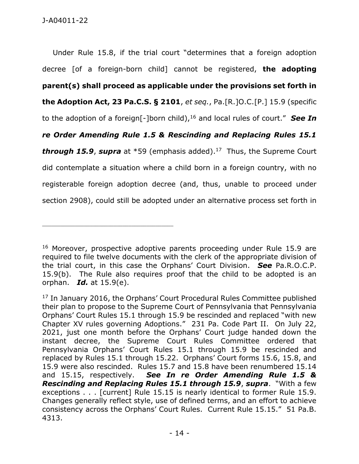Under Rule 15.8, if the trial court "determines that a foreign adoption decree [of a foreign-born child] cannot be registered, **the adopting parent(s) shall proceed as applicable under the provisions set forth in the Adoption Act, 23 Pa.C.S. § 2101**, *et seq.*, Pa.[R.]O.C.[P.] 15.9 (specific to the adoption of a foreign[-]born child),<sup>16</sup> and local rules of court." *See In re Order Amending Rule 1.5 & Rescinding and Replacing Rules 15.1 through 15.9*, *supra* at \*59 (emphasis added). 17 Thus, the Supreme Court did contemplate a situation where a child born in a foreign country, with no registerable foreign adoption decree (and, thus, unable to proceed under section 2908), could still be adopted under an alternative process set forth in

<sup>&</sup>lt;sup>16</sup> Moreover, prospective adoptive parents proceeding under Rule 15.9 are required to file twelve documents with the clerk of the appropriate division of the trial court, in this case the Orphans' Court Division. *See* Pa.R.O.C.P. 15.9(b). The Rule also requires proof that the child to be adopted is an orphan. *Id.* at 15.9(e).

<sup>&</sup>lt;sup>17</sup> In January 2016, the Orphans' Court Procedural Rules Committee published their plan to propose to the Supreme Court of Pennsylvania that Pennsylvania Orphans' Court Rules 15.1 through 15.9 be rescinded and replaced "with new Chapter XV rules governing Adoptions." 231 Pa. Code Part II. On July 22, 2021, just one month before the Orphans' Court judge handed down the instant decree, the Supreme Court Rules Committee ordered that Pennsylvania Orphans' Court Rules 15.1 through 15.9 be rescinded and replaced by Rules 15.1 through 15.22. Orphans' Court forms 15.6, 15.8, and 15.9 were also rescinded. Rules 15.7 and 15.8 have been renumbered 15.14 and 15.15, respectively. *See In re Order Amending Rule 1.5 & Rescinding and Replacing Rules 15.1 through 15.9*, *supra*. "With a few exceptions . . . [current] Rule 15.15 is nearly identical to former Rule 15.9. Changes generally reflect style, use of defined terms, and an effort to achieve consistency across the Orphans' Court Rules. Current Rule 15.15." 51 Pa.B. 4313.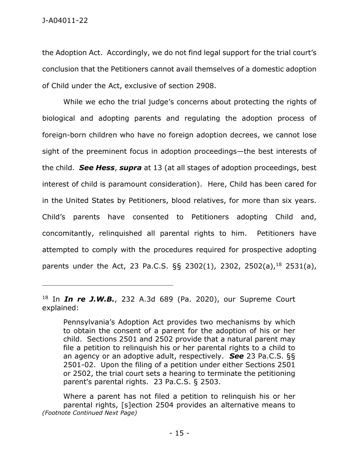the Adoption Act. Accordingly, we do not find legal support for the trial court's conclusion that the Petitioners cannot avail themselves of a domestic adoption of Child under the Act, exclusive of section 2908.

While we echo the trial judge's concerns about protecting the rights of biological and adopting parents and regulating the adoption process of foreign-born children who have no foreign adoption decrees, we cannot lose sight of the preeminent focus in adoption proceedings—the best interests of the child. *See Hess*, *supra* at 13 (at all stages of adoption proceedings, best interest of child is paramount consideration). Here, Child has been cared for in the United States by Petitioners, blood relatives, for more than six years. Child's parents have consented to Petitioners adopting Child and, concomitantly, relinquished all parental rights to him. Petitioners have attempted to comply with the procedures required for prospective adopting parents under the Act, 23 Pa.C.S. §§ 2302(1), 2302, 2502(a), <sup>18</sup> 2531(a),

<sup>18</sup> In *In re J.W.B.*, 232 A.3d 689 (Pa. 2020), our Supreme Court explained:

Pennsylvania's Adoption Act provides two mechanisms by which to obtain the consent of a parent for the adoption of his or her child. Sections 2501 and 2502 provide that a natural parent may file a petition to relinquish his or her parental rights to a child to an agency or an adoptive adult, respectively. *See* 23 Pa.C.S. §§ 2501-02. Upon the filing of a petition under either Sections 2501 or 2502, the trial court sets a hearing to terminate the petitioning parent's parental rights. 23 Pa.C.S. § 2503.

Where a parent has not filed a petition to relinquish his or her parental rights, [s]ection 2504 provides an alternative means to *(Footnote Continued Next Page)*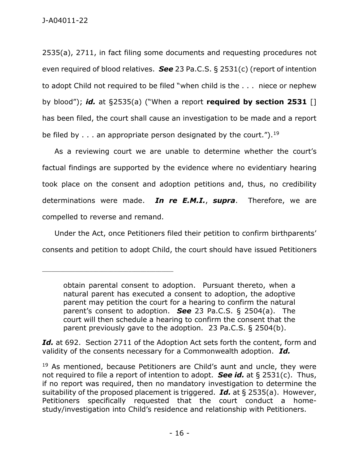2535(a), 2711, in fact filing some documents and requesting procedures not even required of blood relatives. *See* 23 Pa.C.S. § 2531(c) (report of intention to adopt Child not required to be filed "when child is the . . . niece or nephew by blood"); *id.* at §2535(a) ("When a report **required by section 2531** [] has been filed, the court shall cause an investigation to be made and a report be filed by  $\ldots$  an appropriate person designated by the court.").<sup>19</sup>

 As a reviewing court we are unable to determine whether the court's factual findings are supported by the evidence where no evidentiary hearing took place on the consent and adoption petitions and, thus, no credibility determinations were made. *In re E.M.I.*, *supra*. Therefore, we are compelled to reverse and remand.

 Under the Act, once Petitioners filed their petition to confirm birthparents' consents and petition to adopt Child, the court should have issued Petitioners

\_\_\_\_\_\_\_\_\_\_\_\_\_\_\_\_\_\_\_\_\_\_\_\_\_\_\_\_\_\_\_\_\_\_\_\_\_\_\_\_\_\_\_\_

*Id.* at 692. Section 2711 of the Adoption Act sets forth the content, form and validity of the consents necessary for a Commonwealth adoption. *Id.*

obtain parental consent to adoption. Pursuant thereto, when a natural parent has executed a consent to adoption, the adoptive parent may petition the court for a hearing to confirm the natural parent's consent to adoption. *See* 23 Pa.C.S. § 2504(a). The court will then schedule a hearing to confirm the consent that the parent previously gave to the adoption. 23 Pa.C.S. § 2504(b).

<sup>&</sup>lt;sup>19</sup> As mentioned, because Petitioners are Child's aunt and uncle, they were not required to file a report of intention to adopt. *See id.* at § 2531(c). Thus, if no report was required, then no mandatory investigation to determine the suitability of the proposed placement is triggered. *Id.* at § 2535(a). However, Petitioners specifically requested that the court conduct a homestudy/investigation into Child's residence and relationship with Petitioners.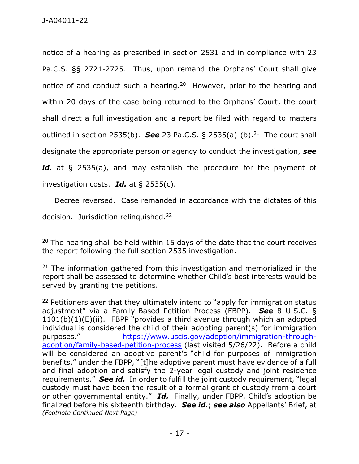notice of a hearing as prescribed in section 2531 and in compliance with 23 Pa.C.S. §§ 2721-2725. Thus, upon remand the Orphans' Court shall give notice of and conduct such a hearing.<sup>20</sup> However, prior to the hearing and within 20 days of the case being returned to the Orphans' Court, the court shall direct a full investigation and a report be filed with regard to matters outlined in section 2535(b). **See** 23 Pa.C.S. § 2535(a)-(b).<sup>21</sup> The court shall designate the appropriate person or agency to conduct the investigation, *see*  id. at § 2535(a), and may establish the procedure for the payment of investigation costs. *Id.* at § 2535(c).

 Decree reversed. Case remanded in accordance with the dictates of this decision. Jurisdiction relinquished.<sup>22</sup>

<sup>&</sup>lt;sup>20</sup> The hearing shall be held within 15 days of the date that the court receives the report following the full section 2535 investigation.

 $21$  The information gathered from this investigation and memorialized in the report shall be assessed to determine whether Child's best interests would be served by granting the petitions.

 $22$  Petitioners aver that they ultimately intend to "apply for immigration status adjustment" via a Family-Based Petition Process (FBPP). *See* 8 U.S.C. § 1101(b)(1)(E)(ii). FBPP "provides a third avenue through which an adopted individual is considered the child of their adopting parent(s) for immigration purposes." [https://www.uscis.gov/adoption/immigration-through](https://www.uscis.gov/adoption/immigration-through-adoption/family-based-petition-process)[adoption/family-based-petition-process](https://www.uscis.gov/adoption/immigration-through-adoption/family-based-petition-process) (last visited 5/26/22). Before a child will be considered an adoptive parent's "child for purposes of immigration benefits," under the FBPP, "[t]he adoptive parent must have evidence of a full and final adoption and satisfy the 2-year legal custody and joint residence requirements." *See id.* In order to fulfill the joint custody requirement, "legal custody must have been the result of a formal grant of custody from a court or other governmental entity." *Id.* Finally, under FBPP, Child's adoption be finalized before his sixteenth birthday. *See id.*; *see also* Appellants' Brief, at *(Footnote Continued Next Page)*